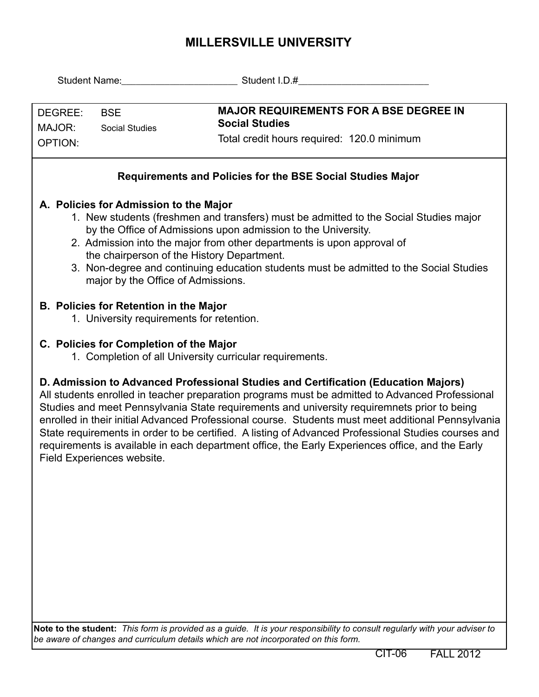## **MILLERSVILLE UNIVERSITY**

|                                                                                                                                                                                                                                                                                                                                                                                                                                                                                                                                                                                                                                     | Student Name: Student I.D.#                                         |  |  |  |  |  |  |
|-------------------------------------------------------------------------------------------------------------------------------------------------------------------------------------------------------------------------------------------------------------------------------------------------------------------------------------------------------------------------------------------------------------------------------------------------------------------------------------------------------------------------------------------------------------------------------------------------------------------------------------|---------------------------------------------------------------------|--|--|--|--|--|--|
| DEGREE:<br><b>BSE</b>                                                                                                                                                                                                                                                                                                                                                                                                                                                                                                                                                                                                               | <b>MAJOR REQUIREMENTS FOR A BSE DEGREE IN</b>                       |  |  |  |  |  |  |
| MAJOR:<br><b>Social Studies</b><br><b>OPTION:</b>                                                                                                                                                                                                                                                                                                                                                                                                                                                                                                                                                                                   | <b>Social Studies</b><br>Total credit hours required: 120.0 minimum |  |  |  |  |  |  |
| <b>Requirements and Policies for the BSE Social Studies Major</b>                                                                                                                                                                                                                                                                                                                                                                                                                                                                                                                                                                   |                                                                     |  |  |  |  |  |  |
| A. Policies for Admission to the Major<br>1. New students (freshmen and transfers) must be admitted to the Social Studies major<br>by the Office of Admissions upon admission to the University.<br>2. Admission into the major from other departments is upon approval of<br>the chairperson of the History Department.<br>3. Non-degree and continuing education students must be admitted to the Social Studies<br>major by the Office of Admissions.                                                                                                                                                                            |                                                                     |  |  |  |  |  |  |
| B. Policies for Retention in the Major<br>1. University requirements for retention.                                                                                                                                                                                                                                                                                                                                                                                                                                                                                                                                                 |                                                                     |  |  |  |  |  |  |
| C. Policies for Completion of the Major<br>1. Completion of all University curricular requirements.                                                                                                                                                                                                                                                                                                                                                                                                                                                                                                                                 |                                                                     |  |  |  |  |  |  |
| D. Admission to Advanced Professional Studies and Certification (Education Majors)<br>All students enrolled in teacher preparation programs must be admitted to Advanced Professional<br>Studies and meet Pennsylvania State requirements and university requiremnets prior to being<br>enrolled in their initial Advanced Professional course. Students must meet additional Pennsylvania<br>State requirements in order to be certified. A listing of Advanced Professional Studies courses and<br>requirements is available in each department office, the Early Experiences office, and the Early<br>Field Experiences website. |                                                                     |  |  |  |  |  |  |
|                                                                                                                                                                                                                                                                                                                                                                                                                                                                                                                                                                                                                                     |                                                                     |  |  |  |  |  |  |
|                                                                                                                                                                                                                                                                                                                                                                                                                                                                                                                                                                                                                                     |                                                                     |  |  |  |  |  |  |
|                                                                                                                                                                                                                                                                                                                                                                                                                                                                                                                                                                                                                                     |                                                                     |  |  |  |  |  |  |

**Note to the student:** *This form is provided as a guide. It is your responsibility to consult regularly with your adviser to be aware of changes and curriculum details which are not incorporated on this form.*